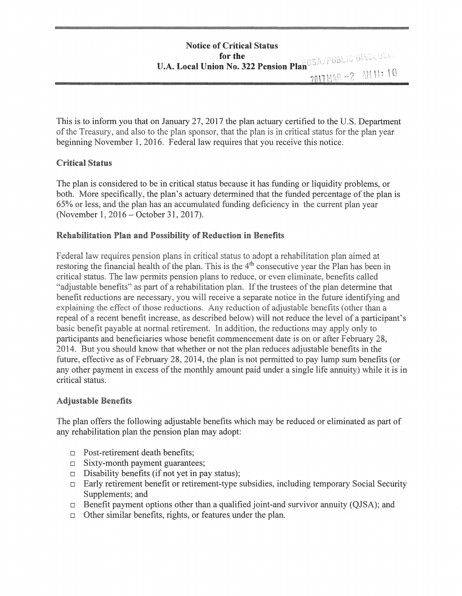This is to inform you that on January 27, 2017 the plan actuary certified to the U.S. Department of the Treasury, and also to the plan sponsor, that the plan is in critical status for the plan year beginning November 1, 2016. Federal law requires that you receive this notice.

# Critical Status

The plan is considered to be in critical status because it has funding or liquidity problems, or both. More specifically, the plan's actuary determined that the funded percentage of the plan is 65% or less, and the plan has an accumulated funding deficiency in the current plan year (November 1, 2016 - October 31, 2017).

# Rehabilitation Pian and Possibility of Reduction in Benefits

Federal law requires pension plans in critical status to adopt a rehabilitation plan aimed at restoring the financial health of the plan. This is the  $4<sup>th</sup>$  consecutive year the Plan has been in critical status. The law permits pension plans to reduce, or even eliminate, benefits called "adjustable benefits" as part of a rehabilitation plan. If the trustees of the plan determine that benefit reductions are necessary, you will receive a separate notice in the future identifying and explaining the effect of those reductions. Any reduction of adjustable benefits (other than a repeal of a recent benefit increase, as described below) will not reduce the level of a participant's basic benefit payable at normal retirement. In addition, the reductions may apply only to participants and beneficiaries whose benefit commencement date is on or after February 28, 2014. But you should know that whether or not the plan reduces adjustable benefits in the future, effective as of February 28, 2014, the plan is not permitted to pay lump sum benefits (or any other payment in excess of the monthly amount paid under a single life annuity) while it is in critical status.

#### Adjustable Benefits

The plan offers the following adjustable benefits which may be reduced or eliminated as part of any rehabilitation plan the pension plan may adopt:

- $\Box$  Post-retirement death benefits;
- $\Box$  Sixty-month payment guarantees;
- $\Box$  Disability benefits (if not yet in pay status);
- $\Box$  Early retirement benefit or retirement-type subsidies, including temporary Social Security Supplements; and
- $\Box$  Benefit payment options other than a qualified joint-and survivor annuity (QJSA); and
- $\Box$  Other similar benefits, rights, or features under the plan.